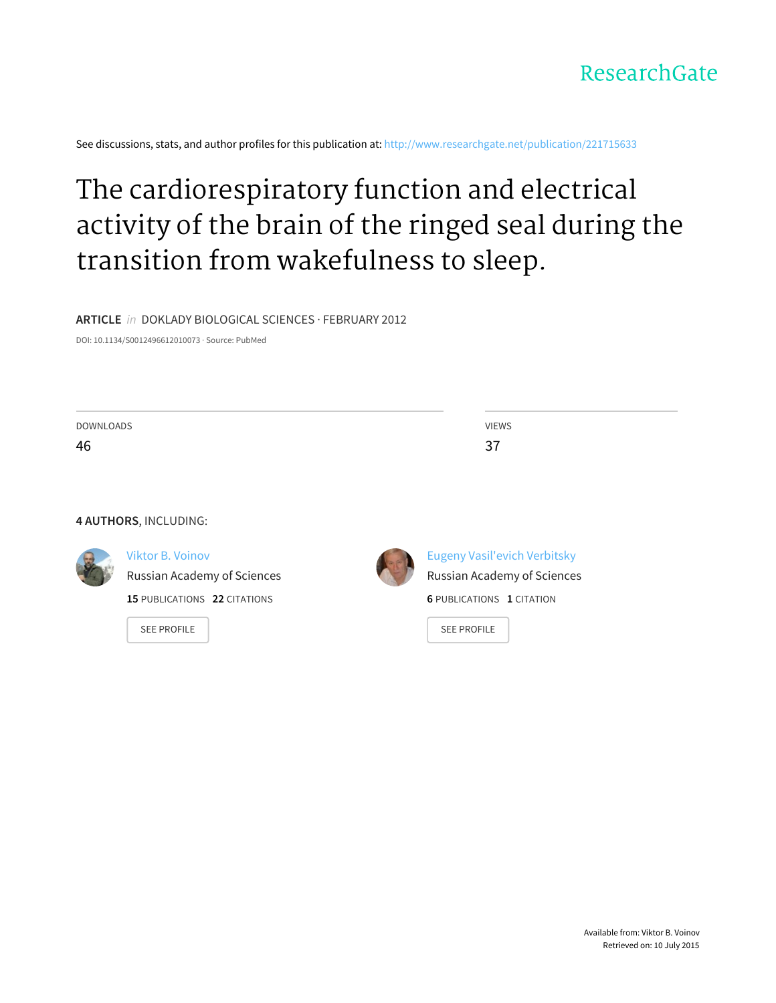

See discussions, stats, and author profiles for this publication at: [http://www.researchgate.net/publication/221715633](http://www.researchgate.net/publication/221715633_The_cardiorespiratory_function_and_electrical_activity_of_the_brain_of_the_ringed_seal_during_the_transition_from_wakefulness_to_sleep?enrichId=rgreq-7b3d537f-da92-43a7-af54-fdce9f8c2a3e&enrichSource=Y292ZXJQYWdlOzIyMTcxNTYzMztBUzoxMDQ4MzgyNDMyOTExNDhAMTQwMjAwNjc5NDE4NA%3D%3D&el=1_x_2)

## The [cardiorespiratory](http://www.researchgate.net/publication/221715633_The_cardiorespiratory_function_and_electrical_activity_of_the_brain_of_the_ringed_seal_during_the_transition_from_wakefulness_to_sleep?enrichId=rgreq-7b3d537f-da92-43a7-af54-fdce9f8c2a3e&enrichSource=Y292ZXJQYWdlOzIyMTcxNTYzMztBUzoxMDQ4MzgyNDMyOTExNDhAMTQwMjAwNjc5NDE4NA%3D%3D&el=1_x_3) function and electrical activity of the brain of the ringed seal during the transition from wakefulness to sleep.

**ARTICLE** in DOKLADY BIOLOGICAL SCIENCES · FEBRUARY 2012

DOI: 10.1134/S0012496612010073 · Source: PubMed

| <b>DOWNLOADS</b><br>46 |                              | <b>VIEWS</b>                        |  |
|------------------------|------------------------------|-------------------------------------|--|
|                        |                              | 37                                  |  |
|                        |                              |                                     |  |
|                        |                              |                                     |  |
|                        | 4 AUTHORS, INCLUDING:        |                                     |  |
|                        | <b>Viktor B. Voinov</b>      | <b>Eugeny Vasil'evich Verbitsky</b> |  |
|                        | Russian Academy of Sciences  | Russian Academy of Sciences         |  |
|                        | 15 PUBLICATIONS 22 CITATIONS | <b>6 PUBLICATIONS 1 CITATION</b>    |  |
|                        | <b>SEE PROFILE</b>           | <b>SEE PROFILE</b>                  |  |
|                        |                              |                                     |  |
|                        |                              |                                     |  |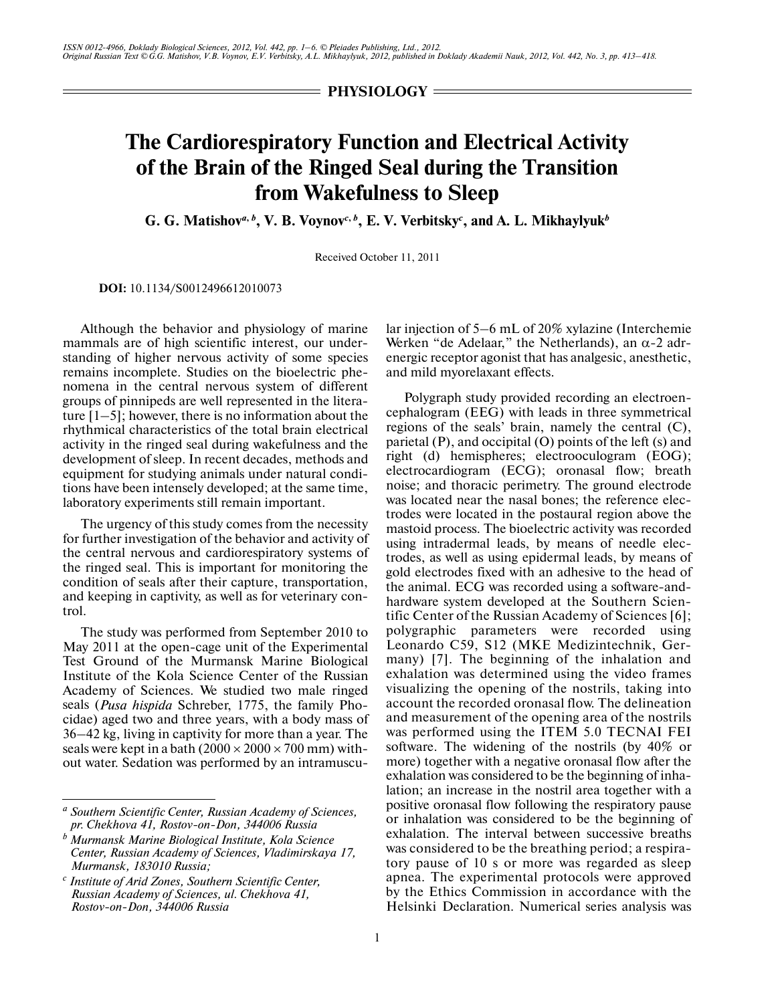$=$  **PHYSIOLOGY**  $=$ 

## **The Cardiorespiratory Function and Electrical Activity of the Brain of the Ringed Seal during the Transition from Wakefulness to Sleep**

**G. G. Matishov***<sup>a</sup>***,** *<sup>b</sup>* **, V. B. Voynov***<sup>c</sup>***,** *<sup>b</sup>* **, E. V. Verbitsky***<sup>c</sup>* **, and A. L. Mikhaylyuk***<sup>b</sup>*

Received October 11, 2011

**DOI:** 10.1134/S0012496612010073

Although the behavior and physiology of marine mammals are of high scientific interest, our under standing of higher nervous activity of some species remains incomplete. Studies on the bioelectric phe nomena in the central nervous system of different groups of pinnipeds are well represented in the litera ture  $[1-5]$ ; however, there is no information about the rhythmical characteristics of the total brain electrical activity in the ringed seal during wakefulness and the development of sleep. In recent decades, methods and equipment for studying animals under natural condi tions have been intensely developed; at the same time, laboratory experiments still remain important.

The urgency of this study comes from the necessity for further investigation of the behavior and activity of the central nervous and cardiorespiratory systems of the ringed seal. This is important for monitoring the condition of seals after their capture, transportation, and keeping in captivity, as well as for veterinary con trol.

The study was performed from September 2010 to May 2011 at the open-cage unit of the Experimental Test Ground of the Murmansk Marine Biological Institute of the Kola Science Center of the Russian Academy of Sciences. We studied two male ringed seals (*Pusa hispida* Schreber, 1775, the family Pho cidae) aged two and three years, with a body mass of 36–42 kg, living in captivity for more than a year. The seals were kept in a bath  $(2000 \times 2000 \times 700 \text{ mm})$  without water. Sedation was performed by an intramuscular injection of 5–6 mL of 20% xylazine (Interchemie Werken "de Adelaar," the Netherlands), an α-2 adr energic receptor agonist that has analgesic, anesthetic, and mild myorelaxant effects.

Polygraph study provided recording an electroen cephalogram (EEG) with leads in three symmetrical regions of the seals' brain, namely the central (C), parietal (P), and occipital (O) points of the left (s) and right (d) hemispheres; electrooculogram (EOG); electrocardiogram (ECG); oronasal flow; breath noise; and thoracic perimetry. The ground electrode was located near the nasal bones; the reference elec trodes were located in the postaural region above the mastoid process. The bioelectric activity was recorded using intradermal leads, by means of needle elec trodes, as well as using epidermal leads, by means of gold electrodes fixed with an adhesive to the head of the animal. ECG was recorded using a software-and hardware system developed at the Southern Scien tific Center of the Russian Academy of Sciences [6]; polygraphic parameters were recorded using Leonardo C59, S12 (MKE Medizintechnik, Ger many) [7]. The beginning of the inhalation and exhalation was determined using the video frames visualizing the opening of the nostrils, taking into account the recorded oronasal flow. The delineation and measurement of the opening area of the nostrils was performed using the ITEM 5.0 TECNAI FEI software. The widening of the nostrils (by 40% or more) together with a negative oronasal flow after the exhalation was considered to be the beginning of inha lation; an increase in the nostril area together with a positive oronasal flow following the respiratory pause or inhalation was considered to be the beginning of exhalation. The interval between successive breaths was considered to be the breathing period; a respira tory pause of 10 s or more was regarded as sleep apnea. The experimental protocols were approved by the Ethics Commission in accordance with the Helsinki Declaration. Numerical series analysis was

*a Southern Scientific Center, Russian Academy of Sciences, pr. Chekhova 41, Rostov-on-Don, 344006 Russia*

*b Murmansk Marine Biological Institute, Kola Science Center, Russian Academy of Sciences, Vladimirskaya 17, Murmansk, 183010 Russia;*

*c Institute of Arid Zones, Southern Scientific Center, Russian Academy of Sciences, ul. Chekhova 41, Rostov-on-Don, 344006 Russia*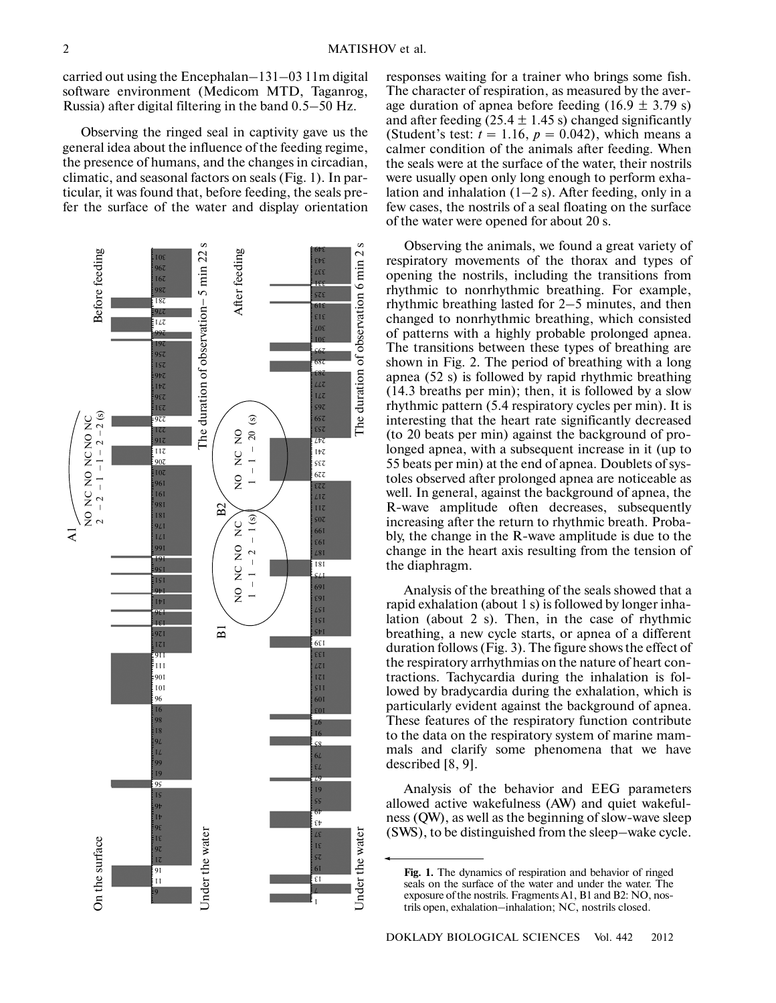carried out using the Encephalan–131–03 11m digital software environment (Medicom MTD, Taganrog, Russia) after digital filtering in the band 0.5–50 Hz.

Observing the ringed seal in captivity gave us the general idea about the influence of the feeding regime, the presence of humans, and the changes in circadian, climatic, and seasonal factors on seals (Fig. 1). In par ticular, it was found that, before feeding, the seals pre fer the surface of the water and display orientation



responses waiting for a trainer who brings some fish. The character of respiration, as measured by the aver age duration of apnea before feeding  $(16.9 \pm 3.79 \text{ s})$ and after feeding (25.4  $\pm$  1.45 s) changed significantly (Student's test:  $t = 1.16$ ,  $p = 0.042$ ), which means a calmer condition of the animals after feeding. When the seals were at the surface of the water, their nostrils were usually open only long enough to perform exha lation and inhalation  $(1-2 s)$ . After feeding, only in a few cases, the nostrils of a seal floating on the surface of the water were opened for about 20 s.

Observing the animals, we found a great variety of respiratory movements of the thorax and types of opening the nostrils, including the transitions from rhythmic to nonrhythmic breathing. For example, rhythmic breathing lasted for 2–5 minutes, and then changed to nonrhythmic breathing, which consisted of patterns with a highly probable prolonged apnea. The transitions between these types of breathing are shown in Fig. 2. The period of breathing with a long apnea (52 s) is followed by rapid rhythmic breathing (14.3 breaths per min); then, it is followed by a slow rhythmic pattern (5.4 respiratory cycles per min). It is interesting that the heart rate significantly decreased (to 20 beats per min) against the background of pro longed apnea, with a subsequent increase in it (up to 55 beats per min) at the end of apnea. Doublets of sys toles observed after prolonged apnea are noticeable as well. In general, against the background of apnea, the R-wave amplitude often decreases, subsequently increasing after the return to rhythmic breath. Proba bly, the change in the R-wave amplitude is due to the change in the heart axis resulting from the tension of the diaphragm.

Analysis of the breathing of the seals showed that a rapid exhalation (about 1 s) is followed by longer inha lation (about 2 s). Then, in the case of rhythmic breathing, a new cycle starts, or apnea of a different duration follows (Fig. 3). The figure shows the effect of the respiratory arrhythmias on the nature of heart con tractions. Tachycardia during the inhalation is fol lowed by bradycardia during the exhalation, which is particularly evident against the background of apnea. These features of the respiratory function contribute to the data on the respiratory system of marine mam mals and clarify some phenomena that we have described [8, 9].

Analysis of the behavior and EEG parameters allowed active wakefulness (AW) and quiet wakeful ness (QW), as well as the beginning of slow-wave sleep (SWS), to be distinguished from the sleep–wake cycle.

**Fig. 1.** The dynamics of respiration and behavior of ringed seals on the surface of the water and under the water. The exposure of the nostrils. Fragments A1, B1 and B2: NO, nos trils open, exhalation–inhalation; NC, nostrils closed.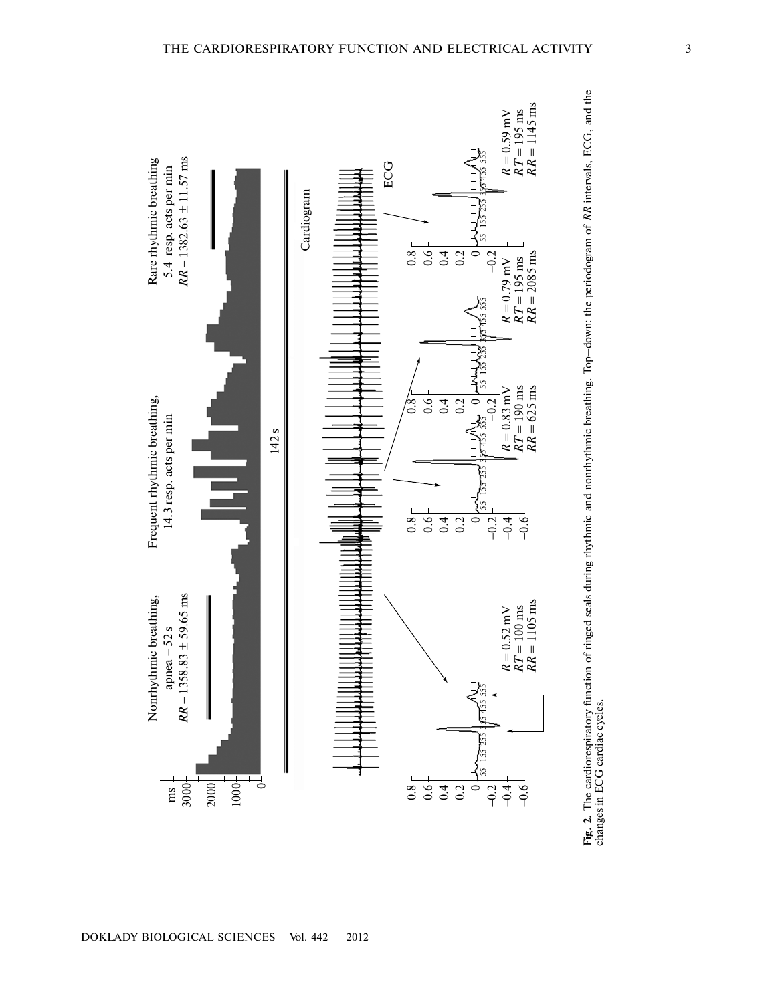

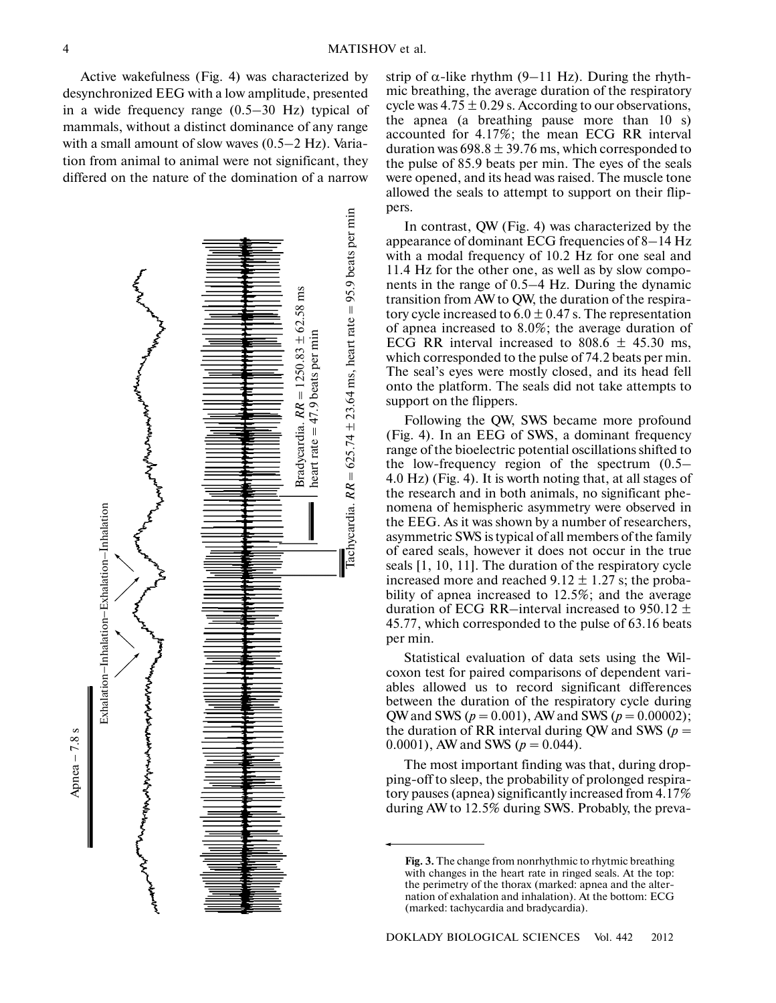Active wakefulness (Fig. 4) was characterized by desynchronized EEG with a low amplitude, presented in a wide frequency range (0.5–30 Hz) typical of mammals, without a distinct dominance of any range with a small amount of slow waves (0.5–2 Hz). Varia tion from animal to animal were not significant, they differed on the nature of the domination of a narrow



strip of  $\alpha$ -like rhythm (9–11 Hz). During the rhythmic breathing, the average duration of the respiratory cycle was  $4.75 \pm 0.29$  s. According to our observations, the apnea (a breathing pause more than 10 s) accounted for 4.17%; the mean ECG RR interval duration was  $698.8 \pm 39.76$  ms, which corresponded to the pulse of 85.9 beats per min. The eyes of the seals were opened, and its head was raised. The muscle tone allowed the seals to attempt to support on their flip pers.

In contrast, QW (Fig. 4) was characterized by the appearance of dominant ECG frequencies of 8–14 Hz with a modal frequency of 10.2 Hz for one seal and 11.4 Hz for the other one, as well as by slow compo nents in the range of 0.5–4 Hz. During the dynamic transition from AW to QW, the duration of the respira tory cycle increased to  $6.0 \pm 0.47$  s. The representation of apnea increased to 8.0%; the average duration of ECG RR interval increased to  $808.6 \pm 45.30$  ms, which corresponded to the pulse of 74.2 beats per min. The seal's eyes were mostly closed, and its head fell onto the platform. The seals did not take attempts to support on the flippers.

Following the QW, SWS became more profound (Fig. 4). In an EEG of SWS, a dominant frequency range of the bioelectric potential oscillations shifted to the low-frequency region of the spectrum (0.5– 4.0 Hz) (Fig. 4). It is worth noting that, at all stages of the research and in both animals, no significant phe nomena of hemispheric asymmetry were observed in the EEG. As it was shown by a number of researchers, asymmetric SWS is typical of all members of the family of eared seals, however it does not occur in the true seals [1, 10, 11]. The duration of the respiratory cycle increased more and reached  $9.12 \pm 1.27$  s; the probability of apnea increased to 12.5%; and the average duration of ECG RR–interval increased to 950.12  $\pm$ 45.77, which corresponded to the pulse of 63.16 beats per min.

Statistical evaluation of data sets using the Wil coxon test for paired comparisons of dependent vari ables allowed us to record significant differences between the duration of the respiratory cycle during QW and SWS (*p* = 0.001), AW and SWS (*p* = 0.00002); the duration of RR interval during QW and SWS ( $p =$ 0.0001), AW and SWS ( $p = 0.044$ ).

The most important finding was that, during drop ping-off to sleep, the probability of prolonged respira tory pauses (apnea) significantly increased from 4.17% during AW to 12.5% during SWS. Probably, the preva-

**Fig. 3.** The change from nonrhythmic to rhytmic breathing with changes in the heart rate in ringed seals. At the top: the perimetry of the thorax (marked: apnea and the alter nation of exhalation and inhalation). At the bottom: ECG (marked: tachycardia and bradycardia).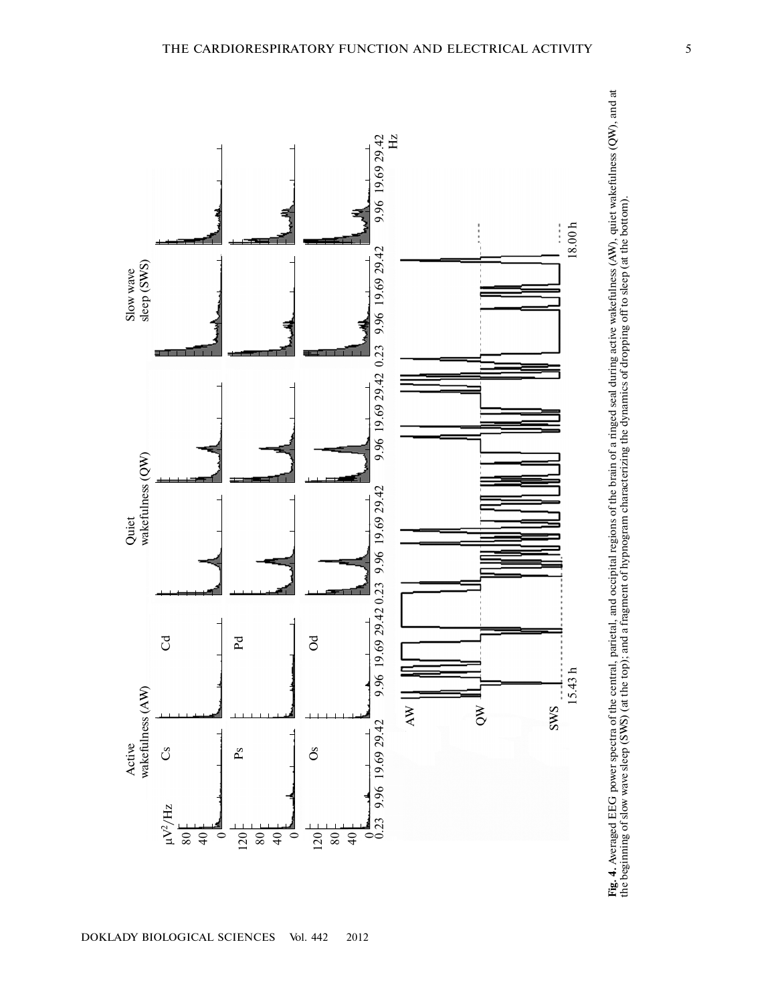